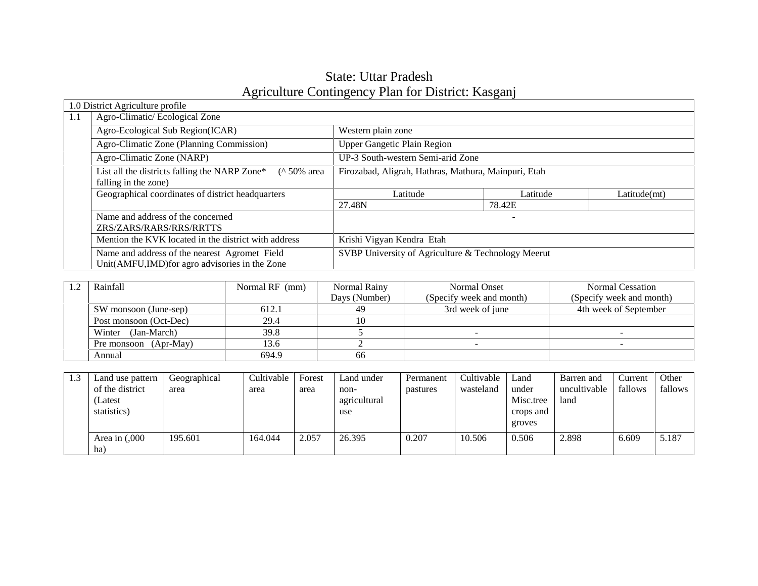# State: Uttar Pradesh Agriculture Contingency Plan for District: Kasganj

|     | 1.0 District Agriculture profile                                                                |                                                      |          |              |  |  |
|-----|-------------------------------------------------------------------------------------------------|------------------------------------------------------|----------|--------------|--|--|
| 1.1 | Agro-Climatic/Ecological Zone                                                                   |                                                      |          |              |  |  |
|     | Agro-Ecological Sub Region(ICAR)                                                                | Western plain zone                                   |          |              |  |  |
|     | Agro-Climatic Zone (Planning Commission)                                                        | <b>Upper Gangetic Plain Region</b>                   |          |              |  |  |
|     | Agro-Climatic Zone (NARP)                                                                       | UP-3 South-western Semi-arid Zone                    |          |              |  |  |
|     | List all the districts falling the NARP Zone*<br>$($ 10% area<br>falling in the zone)           | Firozabad, Aligrah, Hathras, Mathura, Mainpuri, Etah |          |              |  |  |
|     | Geographical coordinates of district headquarters                                               | Latitude                                             | Latitude | Latitude(mt) |  |  |
|     |                                                                                                 | 27.48N                                               | 78.42E   |              |  |  |
|     | Name and address of the concerned<br>ZRS/ZARS/RARS/RRS/RRTTS                                    |                                                      | -        |              |  |  |
|     | Mention the KVK located in the district with address                                            | Krishi Vigyan Kendra Etah                            |          |              |  |  |
|     | Name and address of the nearest Agromet Field<br>Unit(AMFU,IMD) for agro advisories in the Zone | SVBP University of Agriculture & Technology Meerut   |          |              |  |  |

| Rainfall               | Normal RF (mm) | Normal Rainy  | Normal Onset             | <b>Normal Cessation</b>  |
|------------------------|----------------|---------------|--------------------------|--------------------------|
|                        |                | Days (Number) | (Specify week and month) | (Specify week and month) |
| SW monsoon (June-sep)  | 612.1          | 49            | 3rd week of june         | 4th week of September    |
| Post monsoon (Oct-Dec) | 29.4           |               |                          |                          |
| (Jan-March)<br>Winter  | 39.8           |               |                          |                          |
| Pre monsoon (Apr-May)  | 13.6           |               |                          |                          |
| Annual                 | 694.9          | 66            |                          |                          |

| 1.3 | Land use pattern  | Geographical | Cultivable | Forest | Land under   | Permanent | Cultivable | Land      | Barren and   | Current | Other   |
|-----|-------------------|--------------|------------|--------|--------------|-----------|------------|-----------|--------------|---------|---------|
|     | of the district   | area         | area       | area   | non-         | pastures  | wasteland  | under     | uncultivable | fallows | fallows |
|     | (Latest           |              |            |        | agricultural |           |            | Misc.tree | land         |         |         |
|     | statistics)       |              |            |        | use          |           |            | crops and |              |         |         |
|     |                   |              |            |        |              |           |            | groves    |              |         |         |
|     | Area in $(0.000)$ | 195.601      | 164.044    | 2.057  | 26.395       | 0.207     | 10.506     | 0.506     | 2.898        | 6.609   | 5.187   |
|     | ha)               |              |            |        |              |           |            |           |              |         |         |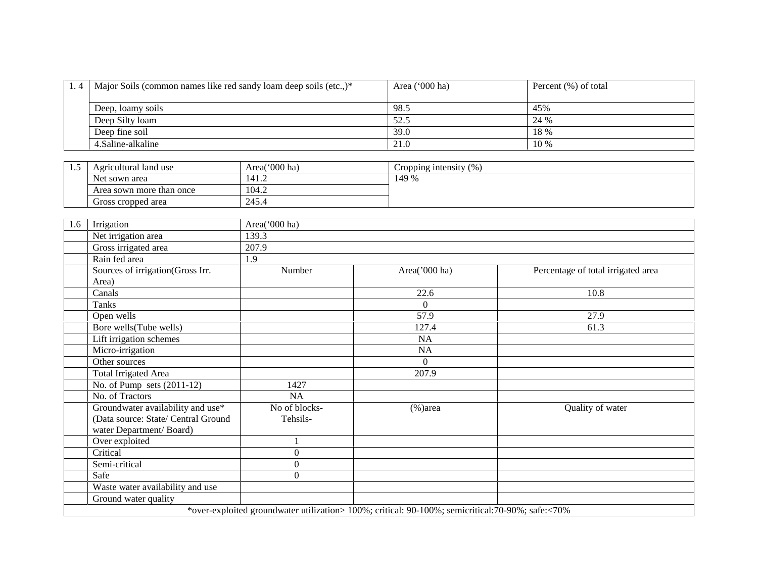| 1.4   Major Soils (common names like red sandy loam deep soils (etc.,)* | Area $('000 ha)$ | Percent (%) of total |  |
|-------------------------------------------------------------------------|------------------|----------------------|--|
| Deep, loamy soils                                                       | 98.5             | 45%                  |  |
| Deep Silty loam                                                         | 52.5             | 24 %                 |  |
| Deep fine soil                                                          | 39.0             | 18 %                 |  |
| 4. Saline-alkaline                                                      | 21.0             | 10 %                 |  |

| ن . | Agricultural land use    | Area( $000$ ha) | (%<br>Cropping intensity |
|-----|--------------------------|-----------------|--------------------------|
|     | Net sown area            | 141.2           | 149 %                    |
|     | Area sown more than once | 104.2           |                          |
|     | Gross cropped area       | 245.4           |                          |

| 1.6 | Irrigation                          | Area('000 ha)  |                                                                                                  |                                    |
|-----|-------------------------------------|----------------|--------------------------------------------------------------------------------------------------|------------------------------------|
|     | Net irrigation area                 | 139.3          |                                                                                                  |                                    |
|     | Gross irrigated area                | 207.9          |                                                                                                  |                                    |
|     | Rain fed area                       | 1.9            |                                                                                                  |                                    |
|     | Sources of irrigation(Gross Irr.    | Number         | Area('000 ha)                                                                                    | Percentage of total irrigated area |
|     | Area)                               |                |                                                                                                  |                                    |
|     | Canals                              |                | 22.6                                                                                             | 10.8                               |
|     | <b>Tanks</b>                        |                | $\boldsymbol{0}$                                                                                 |                                    |
|     | Open wells                          |                | 57.9                                                                                             | 27.9                               |
|     | Bore wells(Tube wells)              |                | 127.4                                                                                            | 61.3                               |
|     | Lift irrigation schemes             |                | <b>NA</b>                                                                                        |                                    |
|     | Micro-irrigation                    |                | NA                                                                                               |                                    |
|     | Other sources                       |                | $\Omega$                                                                                         |                                    |
|     | <b>Total Irrigated Area</b>         |                | 207.9                                                                                            |                                    |
|     | No. of Pump sets $(2011-12)$        | 1427           |                                                                                                  |                                    |
|     | No. of Tractors                     | <b>NA</b>      |                                                                                                  |                                    |
|     | Groundwater availability and use*   | No of blocks-  | $%$ )area                                                                                        | Quality of water                   |
|     | (Data source: State/ Central Ground | Tehsils-       |                                                                                                  |                                    |
|     | water Department/Board)             |                |                                                                                                  |                                    |
|     | Over exploited                      |                |                                                                                                  |                                    |
|     | Critical                            | $\theta$       |                                                                                                  |                                    |
|     | Semi-critical                       | $\overline{0}$ |                                                                                                  |                                    |
|     | Safe                                | $\Omega$       |                                                                                                  |                                    |
|     | Waste water availability and use    |                |                                                                                                  |                                    |
|     | Ground water quality                |                |                                                                                                  |                                    |
|     |                                     |                | *over-exploited groundwater utilization> 100%; critical: 90-100%; semicritical:70-90%; safe:<70% |                                    |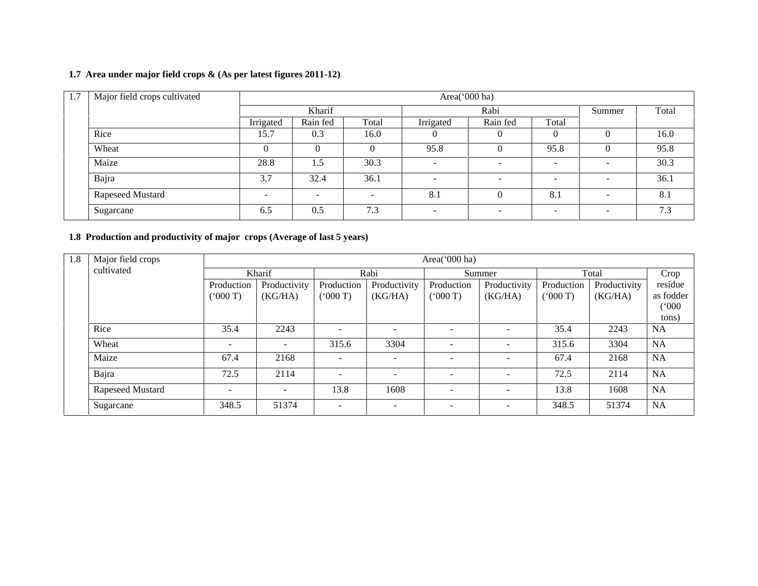## **1.7 Area under major field crops & (As per latest figures 2011-12)**

| 1.7 | Major field crops cultivated |           | Area('000 ha)            |          |                          |                          |                          |                          |       |  |  |
|-----|------------------------------|-----------|--------------------------|----------|--------------------------|--------------------------|--------------------------|--------------------------|-------|--|--|
|     |                              | Kharif    |                          |          | Rabi                     |                          |                          | Summer                   | Total |  |  |
|     |                              | Irrigated | Rain fed                 | Total    | Irrigated                | Rain fed                 | Total                    |                          |       |  |  |
|     | Rice                         | 15.7      | 0.3                      | 16.0     |                          | $\theta$                 | 0                        |                          | 16.0  |  |  |
|     | Wheat                        | $\theta$  | $\theta$                 | $\theta$ | 95.8                     |                          | 95.8                     |                          | 95.8  |  |  |
|     | Maize                        | 28.8      | 1.5                      | 30.3     | $\overline{\phantom{a}}$ | $\overline{\phantom{0}}$ | $\overline{\phantom{a}}$ |                          | 30.3  |  |  |
|     | Bajra                        | 3.7       | 32.4                     | 36.1     | $\overline{\phantom{a}}$ | $\overline{\phantom{a}}$ | $\overline{\phantom{a}}$ | $\overline{\phantom{0}}$ | 36.1  |  |  |
|     | Rapeseed Mustard             | $\sim$    | $\overline{\phantom{a}}$ | -        | 8.1                      | $\Omega$                 | 8.1                      | $\overline{\phantom{0}}$ | 8.1   |  |  |
|     | Sugarcane                    | 6.5       | 0.5                      | 7.3      | -                        | $\overline{\phantom{0}}$ | $\overline{\phantom{0}}$ | $\overline{\phantom{0}}$ | 7.3   |  |  |

## **1.8 Production and productivity of major crops (Average of last 5 years)**

| 1.8 | Major field crops |                      | Area('000 ha)           |                          |                          |                          |                         |                      |                         |                               |  |
|-----|-------------------|----------------------|-------------------------|--------------------------|--------------------------|--------------------------|-------------------------|----------------------|-------------------------|-------------------------------|--|
|     | cultivated        | Kharif               |                         |                          | Rabi                     |                          | Summer                  |                      | Total                   |                               |  |
|     |                   | Production<br>(000T) | Productivity<br>(KG/HA) | Production<br>(000T)     | Productivity<br>(KG/HA)  | Production<br>(000T)     | Productivity<br>(KG/HA) | Production<br>(000T) | Productivity<br>(KG/HA) | residue<br>as fodder<br>(000) |  |
|     |                   |                      |                         |                          |                          |                          |                         |                      |                         | tons)                         |  |
|     | Rice              | 35.4                 | 2243                    | $\sim$                   | $\overline{\phantom{0}}$ | $\sim$                   |                         | 35.4                 | 2243                    | <b>NA</b>                     |  |
|     | Wheat             | ۰.                   | $\sim$                  | 315.6                    | 3304                     | $\sim$                   |                         | 315.6                | 3304                    | NA                            |  |
|     | Maize             | 67.4                 | 2168                    | $\overline{a}$           |                          | $\overline{\phantom{a}}$ |                         | 67.4                 | 2168                    | <b>NA</b>                     |  |
|     | Bajra             | 72.5                 | 2114                    | $\overline{\phantom{a}}$ | $\overline{\phantom{a}}$ | $\overline{\phantom{a}}$ |                         | 72.5                 | 2114                    | NA                            |  |
|     | Rapeseed Mustard  | -                    | $\sim$                  | 13.8                     | 1608                     | $\sim$                   | Ξ.                      | 13.8                 | 1608                    | NA                            |  |
|     | Sugarcane         | 348.5                | 51374                   | $\overline{\phantom{a}}$ | $\overline{\phantom{a}}$ | $\sim$                   | $\equiv$                | 348.5                | 51374                   | <b>NA</b>                     |  |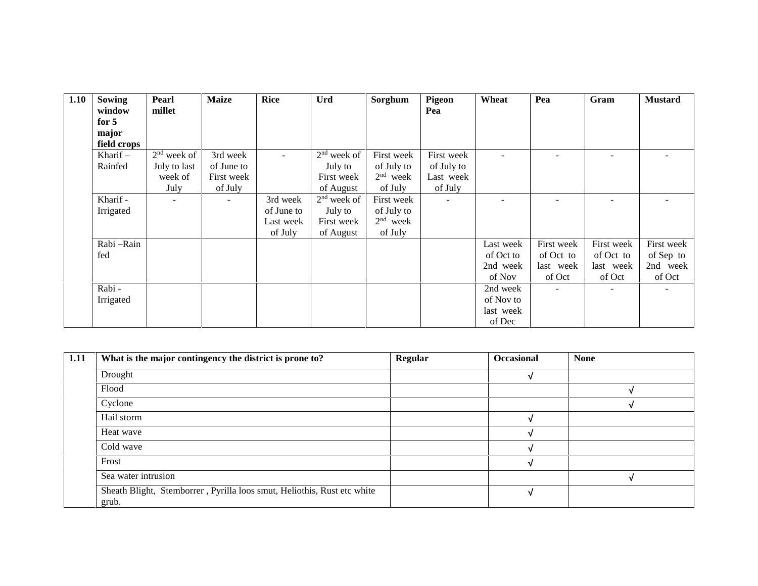| 1.10 | <b>Sowing</b> | Pearl                    | <b>Maize</b> | <b>Rice</b> | <b>Urd</b>    | Sorghum    | Pigeon     | Wheat     | Pea                      | Gram                     | <b>Mustard</b>           |
|------|---------------|--------------------------|--------------|-------------|---------------|------------|------------|-----------|--------------------------|--------------------------|--------------------------|
|      | window        | millet                   |              |             |               |            | Pea        |           |                          |                          |                          |
|      | for 5         |                          |              |             |               |            |            |           |                          |                          |                          |
|      | major         |                          |              |             |               |            |            |           |                          |                          |                          |
|      | field crops   |                          |              |             |               |            |            |           |                          |                          |                          |
|      | Kharif $-$    | $2nd$ week of            | 3rd week     | $\sim$      | $2nd$ week of | First week | First week |           |                          | -                        | $\qquad \qquad$          |
|      | Rainfed       | July to last             | of June to   |             | July to       | of July to | of July to |           |                          |                          |                          |
|      |               | week of                  | First week   |             | First week    | $2nd$ week | Last week  |           |                          |                          |                          |
|      |               | July                     | of July      |             | of August     | of July    | of July    |           |                          |                          |                          |
|      | Kharif -      | $\overline{\phantom{a}}$ |              | 3rd week    | $2nd$ week of | First week | $\sim$     |           |                          |                          | $\overline{\phantom{a}}$ |
|      | Irrigated     |                          |              | of June to  | July to       | of July to |            |           |                          |                          |                          |
|      |               |                          |              | Last week   | First week    | $2nd$ week |            |           |                          |                          |                          |
|      |               |                          |              | of July     | of August     | of July    |            |           |                          |                          |                          |
|      | Rabi - Rain   |                          |              |             |               |            |            | Last week | First week               | First week               | First week               |
|      | fed           |                          |              |             |               |            |            | of Oct to | of Oct to                | of Oct to                | of Sep to                |
|      |               |                          |              |             |               |            |            | 2nd week  | last week                | last week                | 2nd week                 |
|      |               |                          |              |             |               |            |            | of Nov    | of Oct                   | of Oct                   | of Oct                   |
|      | Rabi -        |                          |              |             |               |            |            | 2nd week  | $\overline{\phantom{0}}$ | $\overline{\phantom{a}}$ | $\overline{\phantom{a}}$ |
|      | Irrigated     |                          |              |             |               |            |            | of Nov to |                          |                          |                          |
|      |               |                          |              |             |               |            |            | last week |                          |                          |                          |
|      |               |                          |              |             |               |            |            | of Dec    |                          |                          |                          |

| 1.11 | What is the major contingency the district is prone to?                          | Regular | <b>Occasional</b> | <b>None</b> |
|------|----------------------------------------------------------------------------------|---------|-------------------|-------------|
|      | Drought                                                                          |         |                   |             |
|      | Flood                                                                            |         |                   |             |
|      | Cyclone                                                                          |         |                   |             |
|      | Hail storm                                                                       |         |                   |             |
|      | Heat wave                                                                        |         |                   |             |
|      | Cold wave                                                                        |         |                   |             |
|      | Frost                                                                            |         |                   |             |
|      | Sea water intrusion                                                              |         |                   |             |
|      | Sheath Blight, Stemborrer, Pyrilla loos smut, Heliothis, Rust etc white<br>grub. |         |                   |             |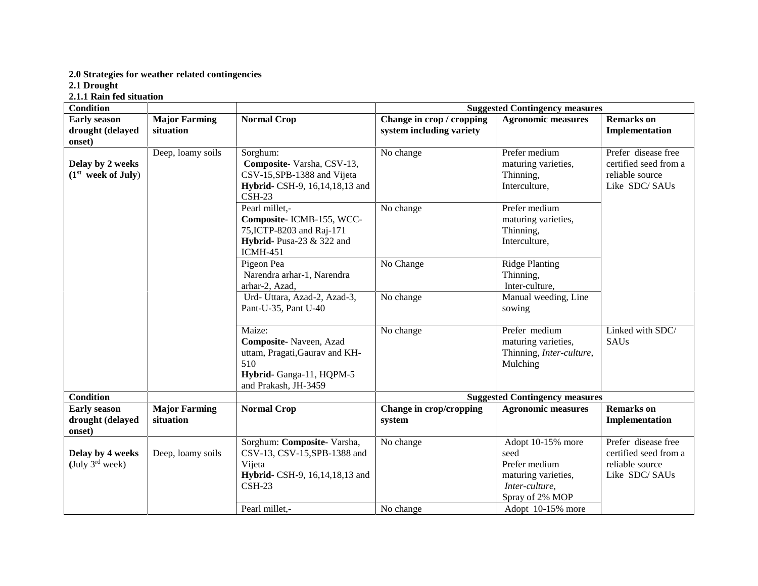#### **2.0 Strategies for weather related contingencies**

**2.1 Drought**

**2.1.1 Rain fed situation**

| <b>Condition</b>                                   |                                   |                                                                                                                                |                                                       | <b>Suggested Contingency measures</b>                                                                  |                                                                                  |
|----------------------------------------------------|-----------------------------------|--------------------------------------------------------------------------------------------------------------------------------|-------------------------------------------------------|--------------------------------------------------------------------------------------------------------|----------------------------------------------------------------------------------|
| <b>Early season</b><br>drought (delayed<br>onset)  | <b>Major Farming</b><br>situation | <b>Normal Crop</b>                                                                                                             | Change in crop / cropping<br>system including variety | <b>Agronomic measures</b>                                                                              | <b>Remarks</b> on<br>Implementation                                              |
| Delay by 2 weeks<br>(1 <sup>st</sup> week of July) | Deep, loamy soils                 | Sorghum:<br>Composite-Varsha, CSV-13,<br>CSV-15, SPB-1388 and Vijeta<br>Hybrid- CSH-9, 16, 14, 18, 13 and<br>$CSH-23$          | No change                                             | Prefer medium<br>maturing varieties,<br>Thinning,<br>Interculture,                                     | Prefer disease free<br>certified seed from a<br>reliable source<br>Like SDC/SAUs |
|                                                    |                                   | Pearl millet,-<br>Composite-ICMB-155, WCC-<br>75, ICTP-8203 and Raj-171<br><b>Hybrid-</b> Pusa-23 & 322 and<br><b>ICMH-451</b> | No change                                             | Prefer medium<br>maturing varieties,<br>Thinning,<br>Interculture,                                     |                                                                                  |
|                                                    |                                   | Pigeon Pea<br>Narendra arhar-1, Narendra<br>arhar-2, Azad,                                                                     | No Change                                             | <b>Ridge Planting</b><br>Thinning,<br>Inter-culture,                                                   |                                                                                  |
|                                                    |                                   | Urd- Uttara, Azad-2, Azad-3,<br>Pant-U-35, Pant U-40                                                                           | No change                                             | Manual weeding, Line<br>sowing                                                                         |                                                                                  |
|                                                    |                                   | Maize:<br>Composite-Naveen, Azad<br>uttam, Pragati, Gaurav and KH-<br>510<br>Hybrid-Ganga-11, HQPM-5<br>and Prakash, JH-3459   | No change                                             | Prefer medium<br>maturing varieties,<br>Thinning, Inter-culture,<br>Mulching                           | Linked with SDC/<br><b>SAUs</b>                                                  |
| <b>Condition</b>                                   |                                   |                                                                                                                                |                                                       | <b>Suggested Contingency measures</b>                                                                  |                                                                                  |
| <b>Early season</b><br>drought (delayed<br>onset)  | <b>Major Farming</b><br>situation | <b>Normal Crop</b>                                                                                                             | Change in crop/cropping<br>system                     | <b>Agronomic measures</b>                                                                              | <b>Remarks</b> on<br>Implementation                                              |
| Delay by 4 weeks<br>(July $3^{\text{rd}}$ week)    | Deep, loamy soils                 | Sorghum: Composite-Varsha,<br>CSV-13, CSV-15, SPB-1388 and<br>Vijeta<br>Hybrid- CSH-9, 16, 14, 18, 13 and<br>$CSH-23$          | No change                                             | Adopt 10-15% more<br>seed<br>Prefer medium<br>maturing varieties,<br>Inter-culture,<br>Spray of 2% MOP | Prefer disease free<br>certified seed from a<br>reliable source<br>Like SDC/SAUs |
|                                                    |                                   | Pearl millet.-                                                                                                                 | No change                                             | Adopt 10-15% more                                                                                      |                                                                                  |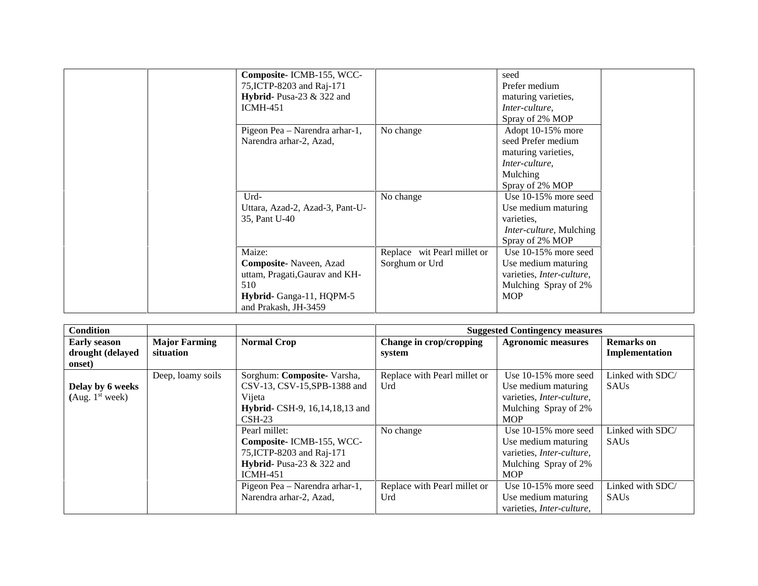| Composite-ICMB-155, WCC-<br>75, ICTP-8203 and Raj-171<br>Hybrid- Pusa-23 $&$ 322 and<br><b>ICMH-451</b>                              |                                               | seed<br>Prefer medium<br>maturing varieties,<br>Inter-culture,<br>Spray of 2% MOP                                 |  |
|--------------------------------------------------------------------------------------------------------------------------------------|-----------------------------------------------|-------------------------------------------------------------------------------------------------------------------|--|
| Pigeon Pea - Narendra arhar-1,<br>Narendra arhar-2, Azad,                                                                            | No change                                     | Adopt 10-15% more<br>seed Prefer medium<br>maturing varieties,<br>Inter-culture,<br>Mulching<br>Spray of 2% MOP   |  |
| Urd-<br>Uttara, Azad-2, Azad-3, Pant-U-<br>35, Pant U-40                                                                             | No change                                     | Use $10-15\%$ more seed<br>Use medium maturing<br>varieties.<br><i>Inter-culture, Mulching</i><br>Spray of 2% MOP |  |
| Maize:<br><b>Composite-</b> Naveen, Azad<br>uttam, Pragati, Gaurav and KH-<br>510<br>Hybrid-Ganga-11, HQPM-5<br>and Prakash, JH-3459 | Replace wit Pearl millet or<br>Sorghum or Urd | Use 10-15% more seed<br>Use medium maturing<br>varieties, Inter-culture,<br>Mulching Spray of 2%<br><b>MOP</b>    |  |

| <b>Condition</b>                                  |                                   |                                                                                                                                     |                                     | <b>Suggested Contingency measures</b>                                                                                     |                                     |
|---------------------------------------------------|-----------------------------------|-------------------------------------------------------------------------------------------------------------------------------------|-------------------------------------|---------------------------------------------------------------------------------------------------------------------------|-------------------------------------|
| <b>Early season</b><br>drought (delayed<br>onset) | <b>Major Farming</b><br>situation | <b>Normal Crop</b>                                                                                                                  | Change in crop/cropping<br>system   | <b>Agronomic measures</b>                                                                                                 | <b>Remarks</b> on<br>Implementation |
| Delay by 6 weeks<br>(Aug. 1 <sup>st</sup> week)   | Deep, loamy soils                 | Sorghum: Composite-Varsha,<br>CSV-13, CSV-15, SPB-1388 and<br>Vijeta<br><b>Hybrid-</b> CSH-9, 16, 14, 18, 13 and<br>$\text{CSH-23}$ | Replace with Pearl millet or<br>Urd | Use $10-15\%$ more seed<br>Use medium maturing<br>varieties, <i>Inter-culture</i> ,<br>Mulching Spray of 2%<br><b>MOP</b> | Linked with SDC/<br><b>SAUs</b>     |
|                                                   |                                   | Pearl millet:<br>Composite-ICMB-155, WCC-<br>75, ICTP-8203 and Raj-171<br>Hybrid- Pusa-23 $&$ 322 and<br>$ICMH-451$                 | No change                           | Use $10-15\%$ more seed<br>Use medium maturing<br>varieties, Inter-culture,<br>Mulching Spray of 2%<br><b>MOP</b>         | Linked with SDC/<br><b>SAUs</b>     |
|                                                   |                                   | Pigeon Pea - Narendra arhar-1,<br>Narendra arhar-2, Azad,                                                                           | Replace with Pearl millet or<br>Urd | Use $10-15\%$ more seed<br>Use medium maturing<br>varieties, Inter-culture,                                               | Linked with SDC/<br><b>SAUs</b>     |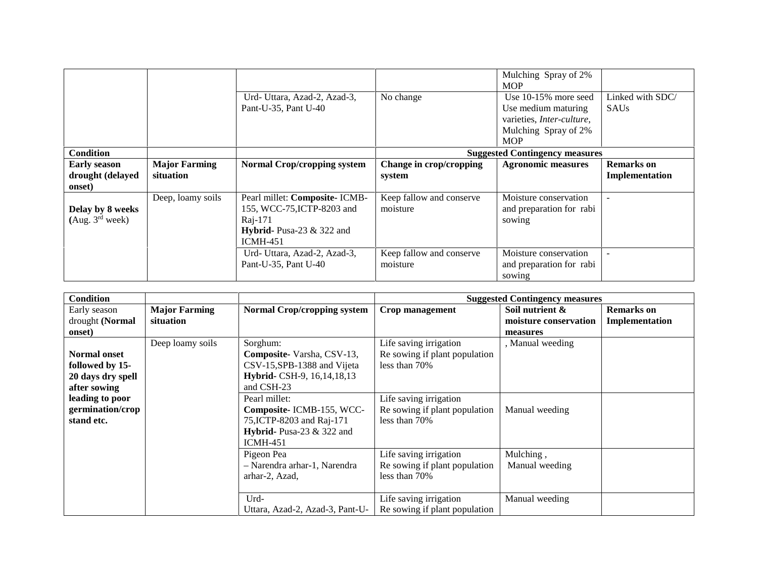|                                                   |                                   | Urd- Uttara, Azad-2, Azad-3,<br>Pant-U-35, Pant U-40                                                                     | No change                            | Mulching Spray of 2%<br><b>MOP</b><br>Use $10-15\%$ more seed<br>Use medium maturing<br>varieties, Inter-culture,<br>Mulching Spray of 2%<br><b>MOP</b> | Linked with SDC/<br><b>SAUs</b>     |
|---------------------------------------------------|-----------------------------------|--------------------------------------------------------------------------------------------------------------------------|--------------------------------------|---------------------------------------------------------------------------------------------------------------------------------------------------------|-------------------------------------|
| <b>Condition</b>                                  |                                   |                                                                                                                          |                                      | <b>Suggested Contingency measures</b>                                                                                                                   |                                     |
| <b>Early season</b><br>drought (delayed<br>onset) | <b>Major Farming</b><br>situation | <b>Normal Crop/cropping system</b>                                                                                       | Change in crop/cropping<br>system    | <b>Agronomic measures</b>                                                                                                                               | <b>Remarks</b> on<br>Implementation |
| Delay by 8 weeks<br>(Aug. 3 <sup>rd</sup> week)   | Deep, loamy soils                 | Pearl millet: Composite- ICMB-<br>155, WCC-75, ICTP-8203 and<br>Raj-171<br>Hybrid-Pusa-23 $&$ 322 and<br><b>ICMH-451</b> | Keep fallow and conserve<br>moisture | Moisture conservation<br>and preparation for rabi<br>sowing                                                                                             |                                     |
|                                                   |                                   | Urd- Uttara, Azad-2, Azad-3,<br>Pant-U-35, Pant U-40                                                                     | Keep fallow and conserve<br>moisture | Moisture conservation<br>and preparation for rabi<br>sowing                                                                                             |                                     |

| <b>Condition</b>                                                                               |                                   |                                                                                                                                      | <b>Suggested Contingency measures</b>                                                              |                                                      |                                     |
|------------------------------------------------------------------------------------------------|-----------------------------------|--------------------------------------------------------------------------------------------------------------------------------------|----------------------------------------------------------------------------------------------------|------------------------------------------------------|-------------------------------------|
| Early season<br>drought (Normal<br>onset)                                                      | <b>Major Farming</b><br>situation | <b>Normal Crop/cropping system</b>                                                                                                   | Crop management                                                                                    | Soil nutrient &<br>moisture conservation<br>measures | <b>Remarks</b> on<br>Implementation |
| <b>Normal onset</b><br>followed by 15-<br>20 days dry spell<br>after sowing<br>leading to poor | Deep loamy soils                  | Sorghum:<br>Composite Varsha, CSV-13,<br>CSV-15, SPB-1388 and Vijeta<br>Hybrid- CSH-9, 16, 14, 18, 13<br>and CSH-23<br>Pearl millet: | Life saving irrigation<br>Re sowing if plant population<br>less than 70%<br>Life saving irrigation | , Manual weeding                                     |                                     |
| germination/crop<br>stand etc.                                                                 |                                   | Composite-ICMB-155, WCC-<br>75, ICTP-8203 and Raj-171<br>Hybrid- Pusa-23 $&$ 322 and<br><b>ICMH-451</b>                              | Re sowing if plant population<br>less than 70%                                                     | Manual weeding                                       |                                     |
|                                                                                                |                                   | Pigeon Pea<br>- Narendra arhar-1, Narendra<br>arhar-2, Azad,                                                                         | Life saving irrigation<br>Re sowing if plant population<br>less than 70%                           | Mulching,<br>Manual weeding                          |                                     |
|                                                                                                |                                   | Urd-<br>Uttara, Azad-2, Azad-3, Pant-U-                                                                                              | Life saving irrigation<br>Re sowing if plant population                                            | Manual weeding                                       |                                     |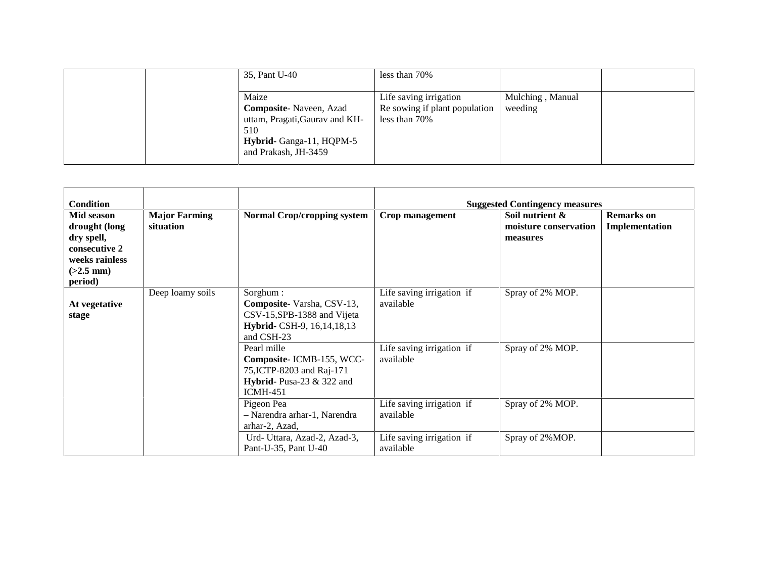| 35, Pant U-40                                                                                                                        | less than 70%                                                            |                             |  |
|--------------------------------------------------------------------------------------------------------------------------------------|--------------------------------------------------------------------------|-----------------------------|--|
| Maize<br><b>Composite-</b> Naveen, Azad<br>uttam, Pragati, Gaurav and KH-<br>510<br>Hybrid- Ganga-11, HQPM-5<br>and Prakash, JH-3459 | Life saving irrigation<br>Re sowing if plant population<br>less than 70% | Mulching, Manual<br>weeding |  |

| <b>Condition</b><br>Mid season<br>drought (long<br>dry spell,<br>consecutive 2<br>weeks rainless<br>$(>2.5$ mm)<br>period) | <b>Major Farming</b><br>situation | <b>Normal Crop/cropping system</b>                                                                                  | <b>Crop management</b>                 | <b>Suggested Contingency measures</b><br>Soil nutrient &<br>moisture conservation<br>measures | <b>Remarks</b> on<br>Implementation |
|----------------------------------------------------------------------------------------------------------------------------|-----------------------------------|---------------------------------------------------------------------------------------------------------------------|----------------------------------------|-----------------------------------------------------------------------------------------------|-------------------------------------|
| At vegetative<br>stage                                                                                                     | Deep loamy soils                  | Sorghum:<br>Composite-Varsha, CSV-13,<br>CSV-15, SPB-1388 and Vijeta<br>Hybrid- CSH-9, 16, 14, 18, 13<br>and CSH-23 | Life saving irrigation if<br>available | Spray of 2% MOP.                                                                              |                                     |
|                                                                                                                            |                                   | Pearl mille<br>Composite-ICMB-155, WCC-<br>75, ICTP-8203 and Raj-171<br>Hybrid-Pusa-23 & 322 and<br><b>ICMH-451</b> | Life saving irrigation if<br>available | Spray of 2% MOP.                                                                              |                                     |
|                                                                                                                            |                                   | Pigeon Pea<br>- Narendra arhar-1, Narendra<br>arhar-2, Azad,                                                        | Life saving irrigation if<br>available | Spray of 2% MOP.                                                                              |                                     |
|                                                                                                                            |                                   | Urd- Uttara, Azad-2, Azad-3,<br>Pant-U-35, Pant U-40                                                                | Life saving irrigation if<br>available | Spray of 2%MOP.                                                                               |                                     |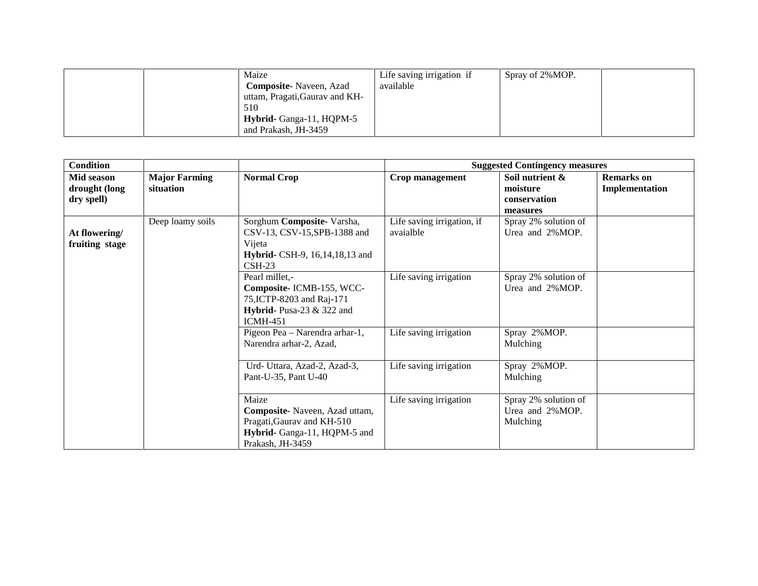| Maize                          | Life saving irrigation if | Spray of 2%MOP. |
|--------------------------------|---------------------------|-----------------|
| <b>Composite-</b> Naveen, Azad | available                 |                 |
| uttam, Pragati, Gauray and KH- |                           |                 |
| 510                            |                           |                 |
| Hybrid- Ganga-11, HQPM-5       |                           |                 |
| and Prakash, JH-3459           |                           |                 |

| <b>Condition</b>                          |                                   |                                                                                                                              | <b>Suggested Contingency measures</b>   |                                                         |                                     |  |
|-------------------------------------------|-----------------------------------|------------------------------------------------------------------------------------------------------------------------------|-----------------------------------------|---------------------------------------------------------|-------------------------------------|--|
| Mid season<br>drought (long<br>dry spell) | <b>Major Farming</b><br>situation | <b>Normal Crop</b>                                                                                                           | Crop management                         | Soil nutrient &<br>moisture<br>conservation<br>measures | <b>Remarks</b> on<br>Implementation |  |
| At flowering/<br>fruiting stage           | Deep loamy soils                  | Sorghum Composite- Varsha,<br>CSV-13, CSV-15, SPB-1388 and<br>Vijeta<br><b>Hybrid-</b> CSH-9, 16, 14, 18, 13 and<br>$CSH-23$ | Life saving irrigation, if<br>avaialble | Spray 2% solution of<br>Urea and 2%MOP.                 |                                     |  |
|                                           |                                   | Pearl millet,-<br>Composite-ICMB-155, WCC-<br>75, ICTP-8203 and Raj-171<br>Hybrid- Pusa-23 $&$ 322 and<br><b>ICMH-451</b>    | Life saving irrigation                  | Spray 2% solution of<br>Urea and 2%MOP.                 |                                     |  |
|                                           |                                   | Pigeon Pea - Narendra arhar-1,<br>Narendra arhar-2, Azad,                                                                    | Life saving irrigation                  | Spray 2%MOP.<br>Mulching                                |                                     |  |
|                                           |                                   | Urd- Uttara, Azad-2, Azad-3,<br>Pant-U-35, Pant U-40                                                                         | Life saving irrigation                  | Spray 2%MOP.<br>Mulching                                |                                     |  |
|                                           |                                   | Maize<br>Composite-Naveen, Azad uttam,<br>Pragati, Gaurav and KH-510<br>Hybrid- Ganga-11, HQPM-5 and<br>Prakash, JH-3459     | Life saving irrigation                  | Spray 2% solution of<br>Urea and 2%MOP.<br>Mulching     |                                     |  |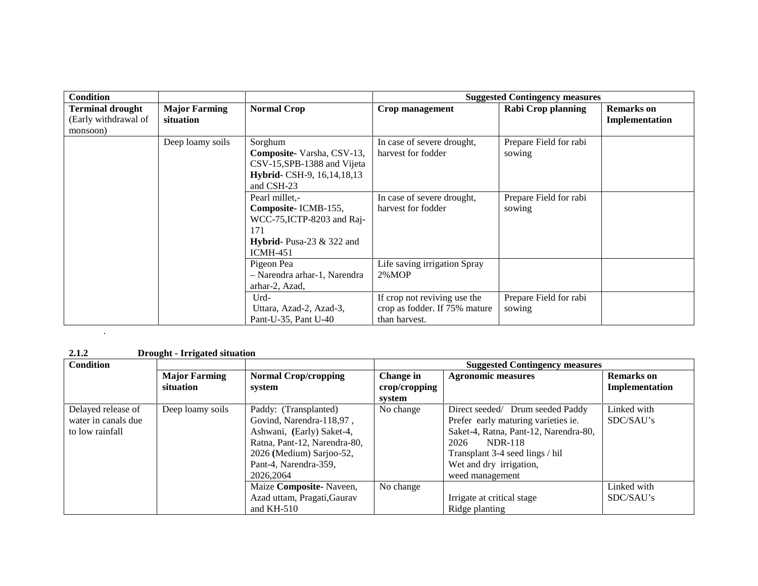| <b>Condition</b>                                            |                                   |                                                                                                                         | <b>Suggested Contingency measures</b>                                          |                                  |                                     |
|-------------------------------------------------------------|-----------------------------------|-------------------------------------------------------------------------------------------------------------------------|--------------------------------------------------------------------------------|----------------------------------|-------------------------------------|
| <b>Terminal drought</b><br>(Early withdrawal of<br>monsoon) | <b>Major Farming</b><br>situation | <b>Normal Crop</b>                                                                                                      | Crop management                                                                | Rabi Crop planning               | <b>Remarks</b> on<br>Implementation |
|                                                             | Deep loamy soils                  | Sorghum<br>Composite-Varsha, CSV-13,<br>CSV-15, SPB-1388 and Vijeta<br>Hybrid- CSH-9, 16, 14, 18, 13<br>and CSH-23      | In case of severe drought,<br>harvest for fodder                               | Prepare Field for rabi<br>sowing |                                     |
|                                                             |                                   | Pearl millet,-<br>Composite-ICMB-155,<br>WCC-75, ICTP-8203 and Raj-<br>171<br>Hybrid- Pusa-23 $&$ 322 and<br>$ICMH-451$ | In case of severe drought,<br>harvest for fodder                               | Prepare Field for rabi<br>sowing |                                     |
|                                                             |                                   | Pigeon Pea<br>- Narendra arhar-1, Narendra<br>arhar-2, Azad,                                                            | Life saving irrigation Spray<br>$2\%$ MOP                                      |                                  |                                     |
|                                                             |                                   | Urd-<br>Uttara, Azad-2, Azad-3,<br>Pant-U-35, Pant U-40                                                                 | If crop not reviving use the<br>crop as fodder. If 75% mature<br>than harvest. | Prepare Field for rabi<br>sowing |                                     |

**2.1.2 Drought - Irrigated situation**

.

| <b>Condition</b>    |                      |                              | <b>Suggested Contingency measures</b> |                                       |                   |  |  |
|---------------------|----------------------|------------------------------|---------------------------------------|---------------------------------------|-------------------|--|--|
|                     | <b>Major Farming</b> | <b>Normal Crop/cropping</b>  | Change in                             | <b>Agronomic measures</b>             | <b>Remarks</b> on |  |  |
|                     | situation            | system                       | crop/cropping                         |                                       | Implementation    |  |  |
|                     |                      |                              | system                                |                                       |                   |  |  |
| Delayed release of  | Deep loamy soils     | Paddy: (Transplanted)        | No change                             | Direct seeded/ Drum seeded Paddy      | Linked with       |  |  |
| water in canals due |                      | Govind, Narendra-118,97,     |                                       | Prefer early maturing varieties ie.   | SDC/SAU's         |  |  |
| to low rainfall     |                      | Ashwani, (Early) Saket-4,    |                                       | Saket-4, Ratna, Pant-12, Narendra-80, |                   |  |  |
|                     |                      | Ratna, Pant-12, Narendra-80, |                                       | 2026<br><b>NDR-118</b>                |                   |  |  |
|                     |                      | 2026 (Medium) Sarjoo-52,     |                                       | Transplant 3-4 seed lings / hil       |                   |  |  |
|                     |                      | Pant-4, Narendra-359,        |                                       | Wet and dry irrigation,               |                   |  |  |
|                     |                      | 2026.2064                    |                                       | weed management                       |                   |  |  |
|                     |                      | Maize Composite-Naveen,      | No change                             |                                       | Linked with       |  |  |
|                     |                      | Azad uttam, Pragati, Gaurav  |                                       | Irrigate at critical stage            | SDC/SAU's         |  |  |
|                     |                      | and $KH-510$                 |                                       | Ridge planting                        |                   |  |  |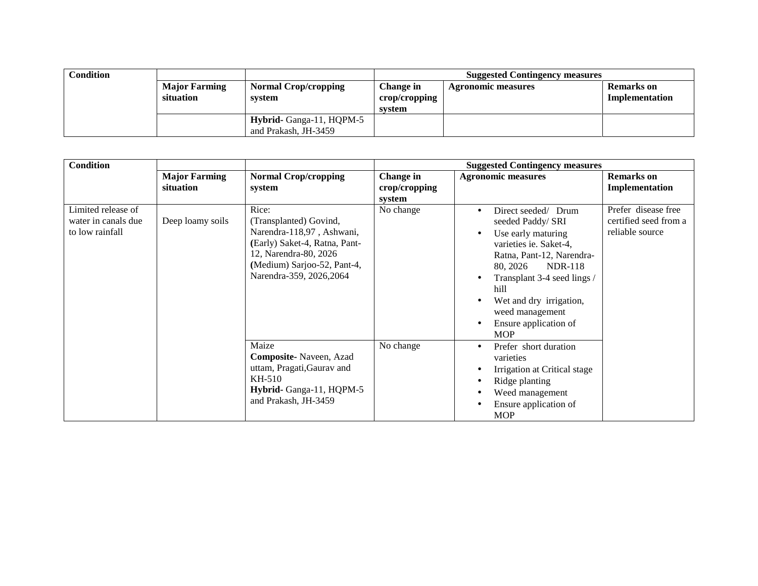| Condition |                                   |                                                  |                                      | <b>Suggested Contingency measures</b> |                                     |
|-----------|-----------------------------------|--------------------------------------------------|--------------------------------------|---------------------------------------|-------------------------------------|
|           | <b>Major Farming</b><br>situation | <b>Normal Crop/cropping</b><br>system            | Change in<br>crop/cropping<br>system | <b>Agronomic measures</b>             | <b>Remarks</b> on<br>Implementation |
|           |                                   | Hybrid- Ganga-11, HQPM-5<br>and Prakash. JH-3459 |                                      |                                       |                                     |

| <b>Condition</b>                                             |                                   |                                                                                                                                                                                   |                                      | <b>Suggested Contingency measures</b>                                                                                                                                                                                                                                                                                  |                                                                 |
|--------------------------------------------------------------|-----------------------------------|-----------------------------------------------------------------------------------------------------------------------------------------------------------------------------------|--------------------------------------|------------------------------------------------------------------------------------------------------------------------------------------------------------------------------------------------------------------------------------------------------------------------------------------------------------------------|-----------------------------------------------------------------|
|                                                              | <b>Major Farming</b><br>situation | <b>Normal Crop/cropping</b><br>system                                                                                                                                             | Change in<br>crop/cropping<br>system | <b>Agronomic measures</b>                                                                                                                                                                                                                                                                                              | <b>Remarks</b> on<br>Implementation                             |
| Limited release of<br>water in canals due<br>to low rainfall | Deep loamy soils                  | Rice:<br>(Transplanted) Govind,<br>Narendra-118,97, Ashwani,<br>(Early) Saket-4, Ratna, Pant-<br>12, Narendra-80, 2026<br>(Medium) Sarjoo-52, Pant-4,<br>Narendra-359, 2026, 2064 | No change                            | Direct seeded/ Drum<br>$\bullet$<br>seeded Paddy/ SRI<br>Use early maturing<br>$\bullet$<br>varieties ie. Saket-4,<br>Ratna, Pant-12, Narendra-<br>80, 2026<br><b>NDR-118</b><br>Transplant 3-4 seed lings /<br>hill<br>Wet and dry irrigation,<br>weed management<br>Ensure application of<br>$\bullet$<br><b>MOP</b> | Prefer disease free<br>certified seed from a<br>reliable source |
|                                                              |                                   | Maize<br>Composite-Naveen, Azad<br>uttam, Pragati, Gaurav and<br>KH-510<br>Hybrid-Ganga-11, HQPM-5<br>and Prakash, JH-3459                                                        | No change                            | Prefer short duration<br>$\bullet$<br>varieties<br>Irrigation at Critical stage<br>$\bullet$<br>Ridge planting<br>٠<br>Weed management<br>Ensure application of<br><b>MOP</b>                                                                                                                                          |                                                                 |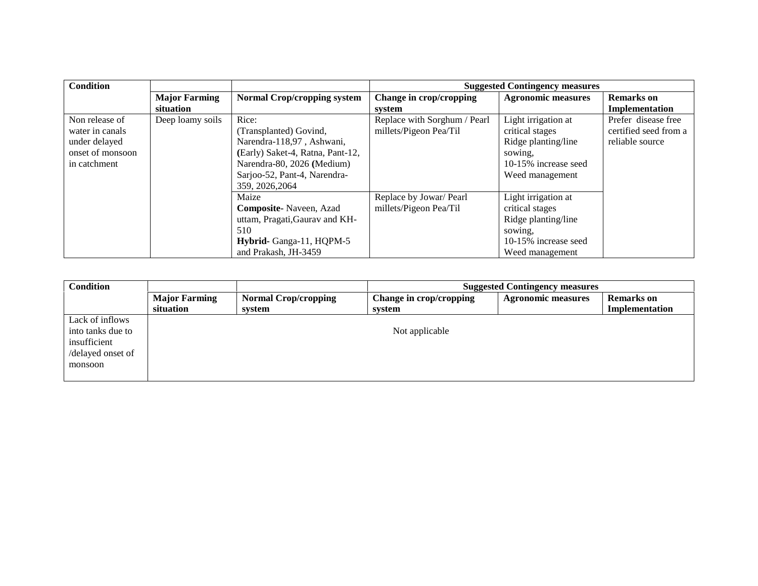| <b>Condition</b>                                                                       |                                   |                                                                                                                                                                                   |                                                        | <b>Suggested Contingency measures</b>                                                                               |                                                                 |
|----------------------------------------------------------------------------------------|-----------------------------------|-----------------------------------------------------------------------------------------------------------------------------------------------------------------------------------|--------------------------------------------------------|---------------------------------------------------------------------------------------------------------------------|-----------------------------------------------------------------|
|                                                                                        | <b>Major Farming</b><br>situation | <b>Normal Crop/cropping system</b>                                                                                                                                                | Change in crop/cropping<br>system                      | <b>Agronomic measures</b>                                                                                           | <b>Remarks</b> on<br>Implementation                             |
| Non release of<br>water in canals<br>under delayed<br>onset of monsoon<br>in catchment | Deep loamy soils                  | Rice:<br>(Transplanted) Govind,<br>Narendra-118,97, Ashwani,<br>(Early) Saket-4, Ratna, Pant-12,<br>Narendra-80, 2026 (Medium)<br>Sarjoo-52, Pant-4, Narendra-<br>359, 2026, 2064 | Replace with Sorghum / Pearl<br>millets/Pigeon Pea/Til | Light irrigation at<br>critical stages<br>Ridge planting/line<br>sowing.<br>10-15% increase seed<br>Weed management | Prefer disease free<br>certified seed from a<br>reliable source |
|                                                                                        |                                   | Maize<br>Composite-Naveen, Azad<br>uttam, Pragati, Gauray and KH-<br>510<br>Hybrid-Ganga-11, HQPM-5<br>and Prakash, JH-3459                                                       | Replace by Jowar/ Pearl<br>millets/Pigeon Pea/Til      | Light irrigation at<br>critical stages<br>Ridge planting/line<br>sowing.<br>10-15% increase seed<br>Weed management |                                                                 |

| <b>Condition</b>  |                                   |                                       |                                   | <b>Suggested Contingency measures</b> |                                     |
|-------------------|-----------------------------------|---------------------------------------|-----------------------------------|---------------------------------------|-------------------------------------|
|                   | <b>Major Farming</b><br>situation | <b>Normal Crop/cropping</b><br>system | Change in crop/cropping<br>system | <b>Agronomic measures</b>             | <b>Remarks</b> on<br>Implementation |
| Lack of inflows   |                                   |                                       |                                   |                                       |                                     |
| into tanks due to |                                   |                                       | Not applicable                    |                                       |                                     |
| insufficient      |                                   |                                       |                                   |                                       |                                     |
| /delayed onset of |                                   |                                       |                                   |                                       |                                     |
| monsoon           |                                   |                                       |                                   |                                       |                                     |
|                   |                                   |                                       |                                   |                                       |                                     |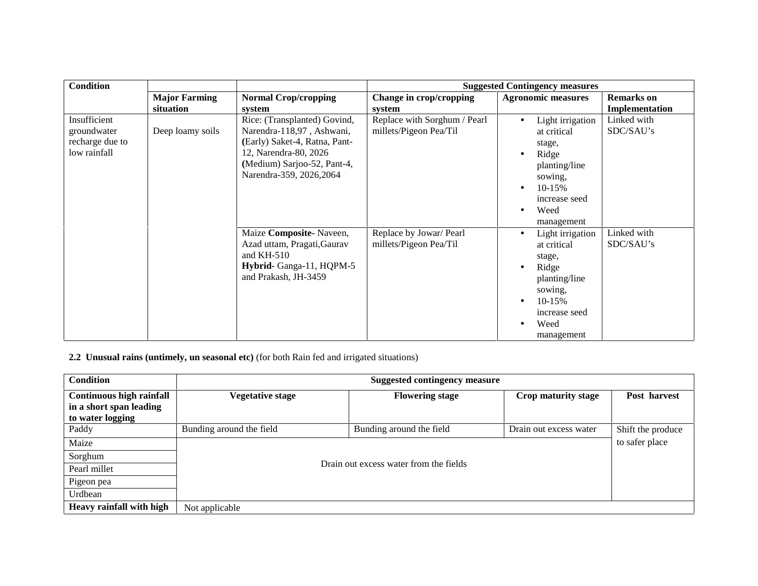| <b>Condition</b>                                               |                                   |                                                                                                                                                                                |                                                        | <b>Suggested Contingency measures</b>                                                                                                          |                                     |
|----------------------------------------------------------------|-----------------------------------|--------------------------------------------------------------------------------------------------------------------------------------------------------------------------------|--------------------------------------------------------|------------------------------------------------------------------------------------------------------------------------------------------------|-------------------------------------|
|                                                                | <b>Major Farming</b><br>situation | <b>Normal Crop/cropping</b><br>system                                                                                                                                          | Change in crop/cropping<br>system                      | <b>Agronomic measures</b>                                                                                                                      | <b>Remarks</b> on<br>Implementation |
| Insufficient<br>groundwater<br>recharge due to<br>low rainfall | Deep loamy soils                  | Rice: (Transplanted) Govind,<br>Narendra-118,97, Ashwani,<br>(Early) Saket-4, Ratna, Pant-<br>12, Narendra-80, 2026<br>(Medium) Sarjoo-52, Pant-4,<br>Narendra-359, 2026, 2064 | Replace with Sorghum / Pearl<br>millets/Pigeon Pea/Til | Light irrigation<br>at critical<br>stage,<br>Ridge<br>planting/line<br>sowing,<br>$10-15%$<br>increase seed<br>Weed<br>$\bullet$<br>management | Linked with<br>SDC/SAU's            |
|                                                                |                                   | Maize Composite-Naveen,<br>Azad uttam, Pragati, Gaurav<br>and $KH-510$<br>Hybrid-Ganga-11, HQPM-5<br>and Prakash, JH-3459                                                      | Replace by Jowar/ Pearl<br>millets/Pigeon Pea/Til      | Light irrigation<br>at critical<br>stage,<br>Ridge<br>planting/line<br>sowing,<br>10-15%<br>increase seed<br>Weed<br>management                | Linked with<br>SDC/SAU's            |

**2.2 Unusual rains (untimely, un seasonal etc)** (for both Rain fed and irrigated situations)

| <b>Condition</b>                                                               |                          | <b>Suggested contingency measure</b>   |                        |                   |
|--------------------------------------------------------------------------------|--------------------------|----------------------------------------|------------------------|-------------------|
| <b>Continuous high rainfall</b><br>in a short span leading<br>to water logging | Vegetative stage         | <b>Flowering stage</b>                 | Crop maturity stage    | Post harvest      |
| Paddy                                                                          | Bunding around the field | Bunding around the field               | Drain out excess water | Shift the produce |
| Maize                                                                          |                          |                                        |                        | to safer place    |
| Sorghum                                                                        |                          | Drain out excess water from the fields |                        |                   |
| Pearl millet                                                                   |                          |                                        |                        |                   |
| Pigeon pea                                                                     |                          |                                        |                        |                   |
| Urdbean                                                                        |                          |                                        |                        |                   |
| Heavy rainfall with high                                                       | Not applicable           |                                        |                        |                   |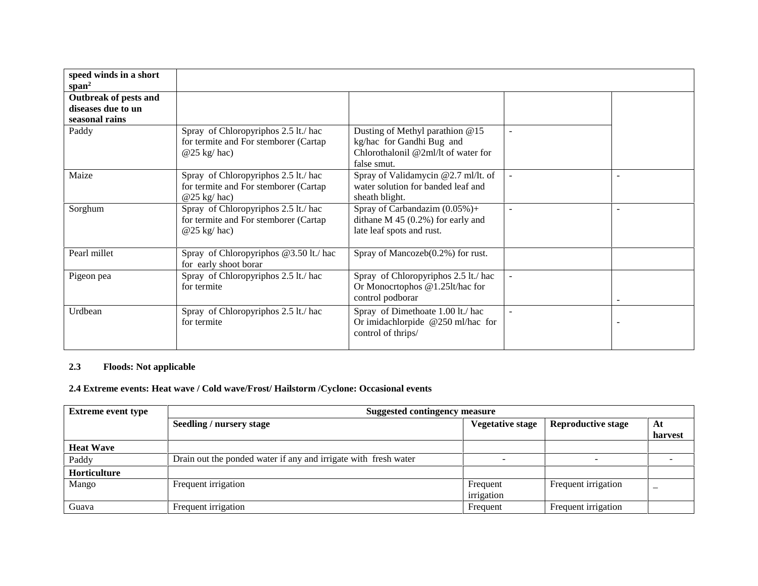| speed winds in a short<br>span <sup>2</sup> |                                                                                                 |                                                                                                                    |                |  |
|---------------------------------------------|-------------------------------------------------------------------------------------------------|--------------------------------------------------------------------------------------------------------------------|----------------|--|
| Outbreak of pests and<br>diseases due to un |                                                                                                 |                                                                                                                    |                |  |
| seasonal rains                              |                                                                                                 |                                                                                                                    |                |  |
| Paddy                                       | Spray of Chloropyriphos 2.5 lt./ hac<br>for termite and For stemborer (Cartap<br>$@25$ kg/ hac) | Dusting of Methyl parathion @15<br>kg/hac for Gandhi Bug and<br>Chlorothalonil @2ml/lt of water for<br>false smut. |                |  |
| Maize                                       | Spray of Chloropyriphos 2.5 lt./ hac<br>for termite and For stemborer (Cartap<br>$@25$ kg/hac)  | Spray of Validamycin $@2.7$ ml/lt. of<br>water solution for banded leaf and<br>sheath blight.                      |                |  |
| Sorghum                                     | Spray of Chloropyriphos 2.5 lt./ hac<br>for termite and For stemborer (Cartap<br>$@25$ kg/ hac) | Spray of Carbandazim $(0.05\%) +$<br>dithane $M$ 45 (0.2%) for early and<br>late leaf spots and rust.              |                |  |
| Pearl millet                                | Spray of Chloropyriphos @3.50 lt./ hac<br>for early shoot borar                                 | Spray of Mancozeb(0.2%) for rust.                                                                                  |                |  |
| Pigeon pea                                  | Spray of Chloropyriphos 2.5 lt./ hac<br>for termite                                             | Spray of Chloropyriphos 2.5 lt./ hac<br>Or Monocrtophos @1.25lt/hac for<br>control podborar                        | $\blacksquare$ |  |
| Urdbean                                     | Spray of Chloropyriphos 2.5 lt./ hac<br>for termite                                             | Spray of Dimethoate 1.00 lt./ hac<br>Or imidachlorpide @250 ml/hac for<br>control of thrips/                       | ÷              |  |

## **2.3 Floods: Not applicable**

# **2.4 Extreme events: Heat wave / Cold wave/Frost/ Hailstorm /Cyclone: Occasional events**

| <b>Extreme event type</b> | Suggested contingency measure                                   |                         |                           |         |
|---------------------------|-----------------------------------------------------------------|-------------------------|---------------------------|---------|
|                           | <b>Seedling / nursery stage</b>                                 | <b>Vegetative stage</b> | <b>Reproductive stage</b> | At      |
|                           |                                                                 |                         |                           | harvest |
| <b>Heat Wave</b>          |                                                                 |                         |                           |         |
| Paddy                     | Drain out the ponded water if any and irrigate with fresh water | -                       |                           |         |
| Horticulture              |                                                                 |                         |                           |         |
| Mango                     | Frequent irrigation                                             | Frequent                | Frequent irrigation       | –       |
|                           |                                                                 | irrigation              |                           |         |
| Guava                     | Frequent irrigation                                             | Frequent                | Frequent irrigation       |         |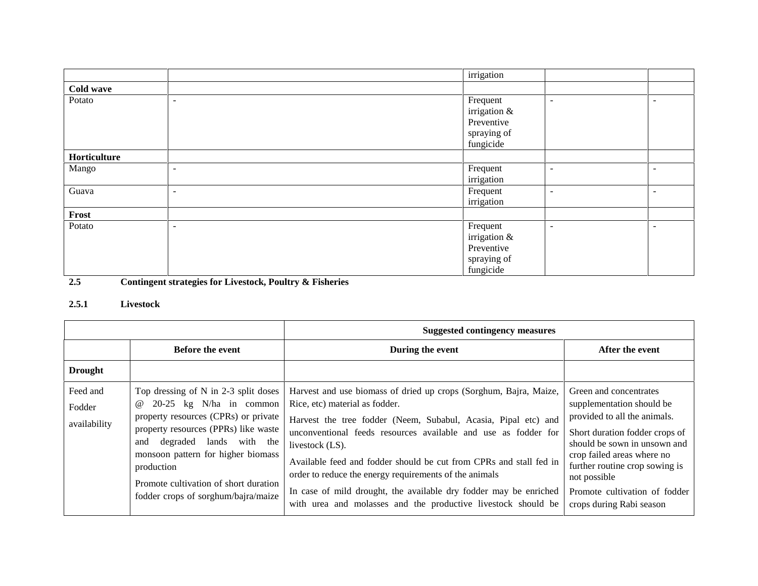|              |                          | irrigation                                                         |                          |                          |
|--------------|--------------------------|--------------------------------------------------------------------|--------------------------|--------------------------|
| Cold wave    |                          |                                                                    |                          |                          |
| Potato       | $\overline{\phantom{a}}$ | Frequent<br>irrigation &<br>Preventive<br>spraying of              | $\overline{\phantom{a}}$ | $\overline{\phantom{0}}$ |
| Horticulture |                          | fungicide                                                          |                          |                          |
|              |                          |                                                                    |                          |                          |
| Mango        | $\overline{\phantom{a}}$ | Frequent<br>irrigation                                             | $\overline{\phantom{a}}$ | $\overline{\phantom{a}}$ |
| Guava        | $\overline{\phantom{a}}$ | Frequent<br>irrigation                                             | $\overline{\phantom{a}}$ | $\overline{\phantom{a}}$ |
| Frost        |                          |                                                                    |                          |                          |
| Potato       | $\overline{\phantom{a}}$ | Frequent<br>irrigation &<br>Preventive<br>spraying of<br>fungicide | $\overline{\phantom{a}}$ | $\overline{\phantom{0}}$ |

**2.5 Contingent strategies for Livestock, Poultry & Fisheries**

# **2.5.1 Livestock**

|                                    |                                                                                                                                                                                                                                                                                                                                     | <b>Suggested contingency measures</b>                                                                                                                                                                                                                                                                                                                                                                                                                                                                                            |                                                                                                                                                                                                                                                                                                    |  |  |
|------------------------------------|-------------------------------------------------------------------------------------------------------------------------------------------------------------------------------------------------------------------------------------------------------------------------------------------------------------------------------------|----------------------------------------------------------------------------------------------------------------------------------------------------------------------------------------------------------------------------------------------------------------------------------------------------------------------------------------------------------------------------------------------------------------------------------------------------------------------------------------------------------------------------------|----------------------------------------------------------------------------------------------------------------------------------------------------------------------------------------------------------------------------------------------------------------------------------------------------|--|--|
|                                    | <b>Before the event</b>                                                                                                                                                                                                                                                                                                             | During the event                                                                                                                                                                                                                                                                                                                                                                                                                                                                                                                 | After the event                                                                                                                                                                                                                                                                                    |  |  |
| <b>Drought</b>                     |                                                                                                                                                                                                                                                                                                                                     |                                                                                                                                                                                                                                                                                                                                                                                                                                                                                                                                  |                                                                                                                                                                                                                                                                                                    |  |  |
| Feed and<br>Fodder<br>availability | Top dressing of N in 2-3 split doses<br>$20-25$ kg N/ha in common<br>$^{\,a}$<br>property resources (CPRs) or private<br>property resources (PPRs) like waste<br>degraded lands with the<br>and<br>monsoon pattern for higher biomass<br>production<br>Promote cultivation of short duration<br>fodder crops of sorghum/bajra/maize | Harvest and use biomass of dried up crops (Sorghum, Bajra, Maize,<br>Rice, etc) material as fodder.<br>Harvest the tree fodder (Neem, Subabul, Acasia, Pipal etc) and<br>unconventional feeds resources available and use as fodder for<br>livestock (LS).<br>Available feed and fodder should be cut from CPRs and stall fed in<br>order to reduce the energy requirements of the animals<br>In case of mild drought, the available dry fodder may be enriched<br>with urea and molasses and the productive livestock should be | Green and concentrates<br>supplementation should be<br>provided to all the animals.<br>Short duration fodder crops of<br>should be sown in unsown and<br>crop failed areas where no<br>further routine crop sowing is<br>not possible<br>Promote cultivation of fodder<br>crops during Rabi season |  |  |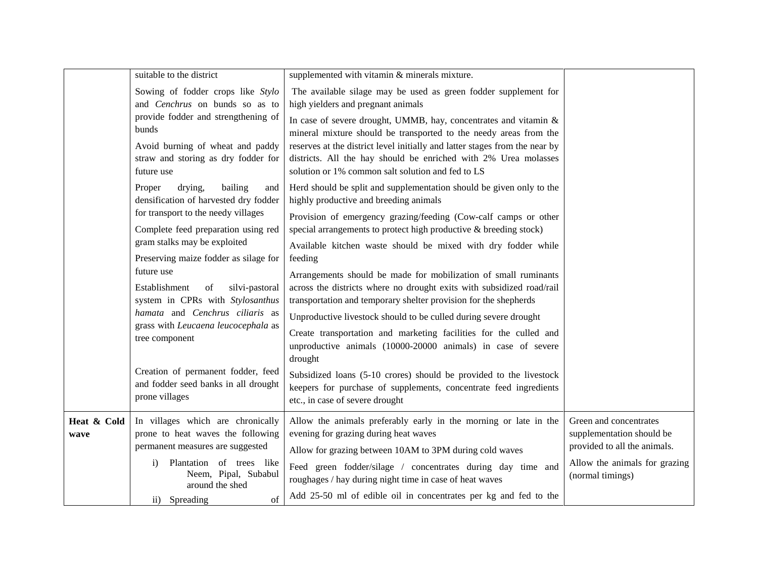|                     | suitable to the district                                                                                   | supplemented with vitamin & minerals mixture.                                                                                                                                                                    |                                                                                     |
|---------------------|------------------------------------------------------------------------------------------------------------|------------------------------------------------------------------------------------------------------------------------------------------------------------------------------------------------------------------|-------------------------------------------------------------------------------------|
|                     | Sowing of fodder crops like Stylo<br>and Cenchrus on bunds so as to                                        | The available silage may be used as green fodder supplement for<br>high yielders and pregnant animals                                                                                                            |                                                                                     |
|                     | provide fodder and strengthening of<br>bunds                                                               | In case of severe drought, UMMB, hay, concentrates and vitamin &<br>mineral mixture should be transported to the needy areas from the                                                                            |                                                                                     |
|                     | Avoid burning of wheat and paddy<br>straw and storing as dry fodder for<br>future use                      | reserves at the district level initially and latter stages from the near by<br>districts. All the hay should be enriched with 2% Urea molasses<br>solution or 1% common salt solution and fed to LS              |                                                                                     |
|                     | drying,<br>bailing<br>Proper<br>and<br>densification of harvested dry fodder                               | Herd should be split and supplementation should be given only to the<br>highly productive and breeding animals                                                                                                   |                                                                                     |
|                     | for transport to the needy villages<br>Complete feed preparation using red                                 | Provision of emergency grazing/feeding (Cow-calf camps or other<br>special arrangements to protect high productive $\&$ breeding stock)                                                                          |                                                                                     |
|                     | gram stalks may be exploited<br>Preserving maize fodder as silage for                                      | Available kitchen waste should be mixed with dry fodder while<br>feeding                                                                                                                                         |                                                                                     |
|                     | future use<br>Establishment<br>silvi-pastoral<br>of<br>system in CPRs with Stylosanthus                    | Arrangements should be made for mobilization of small ruminants<br>across the districts where no drought exits with subsidized road/rail<br>transportation and temporary shelter provision for the shepherds     |                                                                                     |
|                     | hamata and Cenchrus ciliaris as<br>grass with Leucaena leucocephala as<br>tree component                   | Unproductive livestock should to be culled during severe drought<br>Create transportation and marketing facilities for the culled and<br>unproductive animals (10000-20000 animals) in case of severe<br>drought |                                                                                     |
|                     | Creation of permanent fodder, feed<br>and fodder seed banks in all drought<br>prone villages               | Subsidized loans (5-10 crores) should be provided to the livestock<br>keepers for purchase of supplements, concentrate feed ingredients<br>etc., in case of severe drought                                       |                                                                                     |
| Heat & Cold<br>wave | In villages which are chronically<br>prone to heat waves the following<br>permanent measures are suggested | Allow the animals preferably early in the morning or late in the<br>evening for grazing during heat waves<br>Allow for grazing between 10AM to 3PM during cold waves                                             | Green and concentrates<br>supplementation should be<br>provided to all the animals. |
|                     | Plantation of trees like<br>$\mathbf{i}$<br>Neem, Pipal, Subabul<br>around the shed                        | Feed green fodder/silage / concentrates during day time and<br>roughages / hay during night time in case of heat waves                                                                                           | Allow the animals for grazing<br>(normal timings)                                   |
|                     | ii) Spreading<br>of                                                                                        | Add 25-50 ml of edible oil in concentrates per kg and fed to the                                                                                                                                                 |                                                                                     |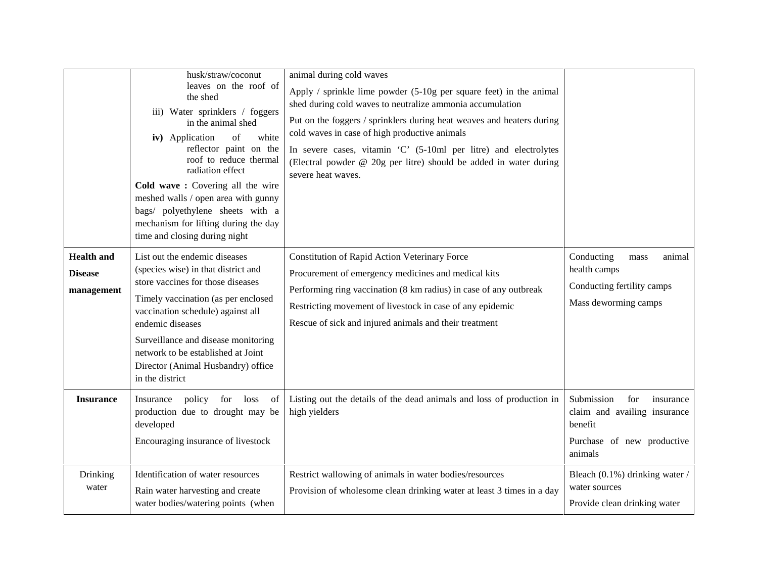|                                                   | husk/straw/coconut<br>leaves on the roof of<br>the shed<br>iii) Water sprinklers / foggers<br>in the animal shed<br>of<br>iv) Application<br>white<br>reflector paint on the<br>roof to reduce thermal<br>radiation effect<br>Cold wave: Covering all the wire<br>meshed walls / open area with gunny<br>bags/ polyethylene sheets with a<br>mechanism for lifting during the day<br>time and closing during night | animal during cold waves<br>Apply / sprinkle lime powder $(5-10)$ g per square feet) in the animal<br>shed during cold waves to neutralize ammonia accumulation<br>Put on the foggers / sprinklers during heat weaves and heaters during<br>cold waves in case of high productive animals<br>In severe cases, vitamin 'C' (5-10ml per litre) and electrolytes<br>(Electral powder @ 20g per litre) should be added in water during<br>severe heat waves. |                                                                                                                    |
|---------------------------------------------------|--------------------------------------------------------------------------------------------------------------------------------------------------------------------------------------------------------------------------------------------------------------------------------------------------------------------------------------------------------------------------------------------------------------------|----------------------------------------------------------------------------------------------------------------------------------------------------------------------------------------------------------------------------------------------------------------------------------------------------------------------------------------------------------------------------------------------------------------------------------------------------------|--------------------------------------------------------------------------------------------------------------------|
| <b>Health and</b><br><b>Disease</b><br>management | List out the endemic diseases<br>(species wise) in that district and<br>store vaccines for those diseases<br>Timely vaccination (as per enclosed<br>vaccination schedule) against all<br>endemic diseases<br>Surveillance and disease monitoring<br>network to be established at Joint<br>Director (Animal Husbandry) office<br>in the district                                                                    | Constitution of Rapid Action Veterinary Force<br>Procurement of emergency medicines and medical kits<br>Performing ring vaccination (8 km radius) in case of any outbreak<br>Restricting movement of livestock in case of any epidemic<br>Rescue of sick and injured animals and their treatment                                                                                                                                                         | Conducting<br>animal<br>mass<br>health camps<br>Conducting fertility camps<br>Mass deworming camps                 |
| <b>Insurance</b>                                  | policy for loss<br>Insurance<br>of<br>production due to drought may be<br>developed<br>Encouraging insurance of livestock                                                                                                                                                                                                                                                                                          | Listing out the details of the dead animals and loss of production in<br>high yielders                                                                                                                                                                                                                                                                                                                                                                   | Submission<br>for<br>insurance<br>claim and availing insurance<br>benefit<br>Purchase of new productive<br>animals |
| Drinking<br>water                                 | Identification of water resources<br>Rain water harvesting and create<br>water bodies/watering points (when                                                                                                                                                                                                                                                                                                        | Restrict wallowing of animals in water bodies/resources<br>Provision of wholesome clean drinking water at least 3 times in a day                                                                                                                                                                                                                                                                                                                         | Bleach (0.1%) drinking water /<br>water sources<br>Provide clean drinking water                                    |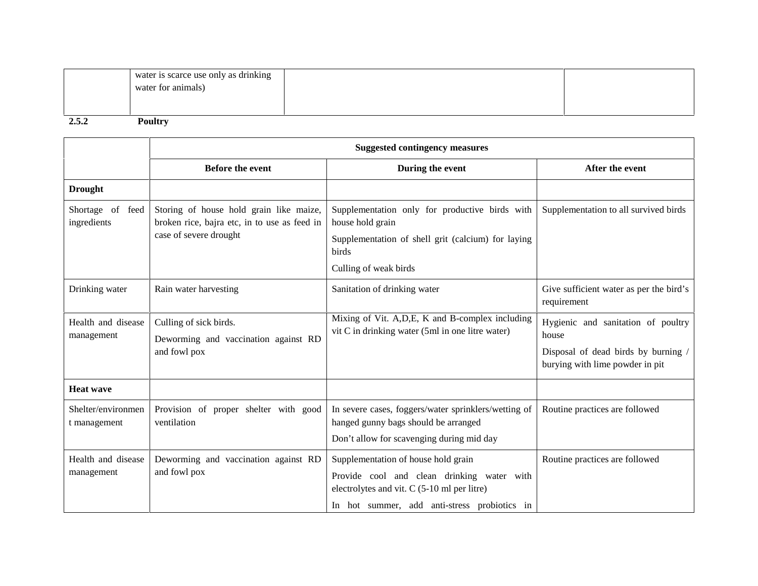| ້⊿•ູ | <b>Poultry</b>                                             |  |
|------|------------------------------------------------------------|--|
|      | water is scarce use only as drinking<br>water for animals) |  |

|                                    |                                                                                                                   | <b>Suggested contingency measures</b>                                                                                                                                              |                                                                                                                       |
|------------------------------------|-------------------------------------------------------------------------------------------------------------------|------------------------------------------------------------------------------------------------------------------------------------------------------------------------------------|-----------------------------------------------------------------------------------------------------------------------|
|                                    | <b>Before the event</b>                                                                                           | During the event                                                                                                                                                                   | After the event                                                                                                       |
| <b>Drought</b>                     |                                                                                                                   |                                                                                                                                                                                    |                                                                                                                       |
| Shortage of<br>feed<br>ingredients | Storing of house hold grain like maize,<br>broken rice, bajra etc, in to use as feed in<br>case of severe drought | Supplementation only for productive birds with<br>house hold grain<br>Supplementation of shell grit (calcium) for laying<br>birds<br>Culling of weak birds                         | Supplementation to all survived birds                                                                                 |
| Drinking water                     | Rain water harvesting                                                                                             | Sanitation of drinking water                                                                                                                                                       | Give sufficient water as per the bird's<br>requirement                                                                |
| Health and disease<br>management   | Culling of sick birds.<br>Deworming and vaccination against RD<br>and fowl pox                                    | Mixing of Vit. A, D, E, K and B-complex including<br>vit C in drinking water (5ml in one litre water)                                                                              | Hygienic and sanitation of poultry<br>house<br>Disposal of dead birds by burning /<br>burying with lime powder in pit |
| <b>Heat wave</b>                   |                                                                                                                   |                                                                                                                                                                                    |                                                                                                                       |
| Shelter/environmen<br>t management | Provision of proper shelter with good<br>ventilation                                                              | In severe cases, foggers/water sprinklers/wetting of<br>hanged gunny bags should be arranged<br>Don't allow for scavenging during mid day                                          | Routine practices are followed                                                                                        |
| Health and disease<br>management   | Deworming and vaccination against RD<br>and fowl pox                                                              | Supplementation of house hold grain<br>Provide cool and clean drinking water with<br>electrolytes and vit. $C$ (5-10 ml per litre)<br>In hot summer, add anti-stress probiotics in | Routine practices are followed                                                                                        |